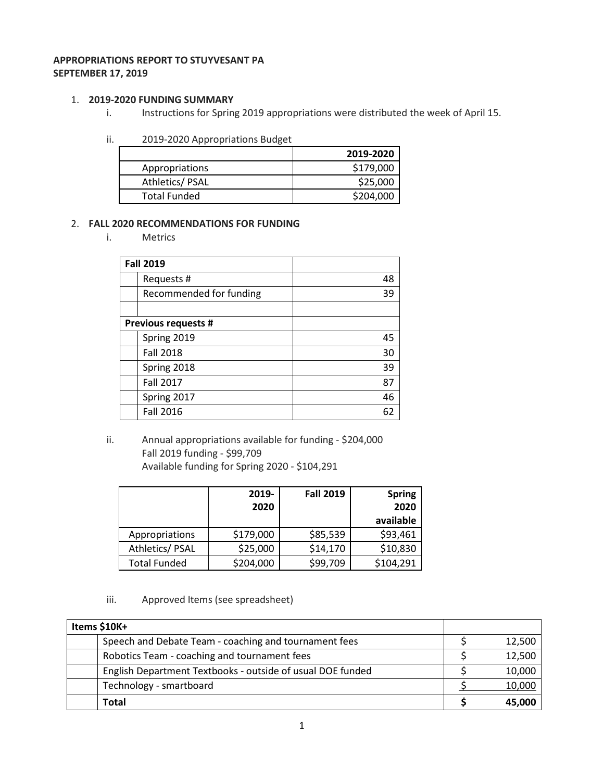## **APPROPRIATIONS REPORT TO STUYVESANT PA SEPTEMBER 17, 2019**

### 1. **2019-2020 FUNDING SUMMARY**

- i. Instructions for Spring 2019 appropriations were distributed the week of April 15.
- ii. 2019-2020 Appropriations Budget

|                     | 2019-2020 |
|---------------------|-----------|
| Appropriations      | \$179,000 |
| Athletics/PSAL      | \$25,000  |
| <b>Total Funded</b> | \$204,000 |

## 2. **FALL 2020 RECOMMENDATIONS FOR FUNDING**

i. Metrics

| <b>Fall 2019</b>           |    |
|----------------------------|----|
| Requests #                 | 48 |
| Recommended for funding    | 39 |
|                            |    |
| <b>Previous requests #</b> |    |
| Spring 2019                | 45 |
| <b>Fall 2018</b>           | 30 |
| Spring 2018                | 39 |
| <b>Fall 2017</b>           | 87 |
| Spring 2017                | 46 |
| <b>Fall 2016</b>           | 62 |

ii. Annual appropriations available for funding - \$204,000 Fall 2019 funding - \$99,709 Available funding for Spring 2020 - \$104,291

|                     | 2019-<br>2020 | <b>Fall 2019</b> | <b>Spring</b><br>2020<br>available |
|---------------------|---------------|------------------|------------------------------------|
| Appropriations      | \$179,000     | \$85,539         | \$93,461                           |
| Athletics/ PSAL     | \$25,000      | \$14,170         | \$10,830                           |
| <b>Total Funded</b> | \$204,000     | \$99,709         | \$104,291                          |

iii. Approved Items (see spreadsheet)

| Items \$10K+                                               |        |
|------------------------------------------------------------|--------|
| Speech and Debate Team - coaching and tournament fees      | 12,500 |
| Robotics Team - coaching and tournament fees               | 12,500 |
| English Department Textbooks - outside of usual DOE funded | 10,000 |
| Technology - smartboard                                    | 10,000 |
| <b>Total</b>                                               | 45,000 |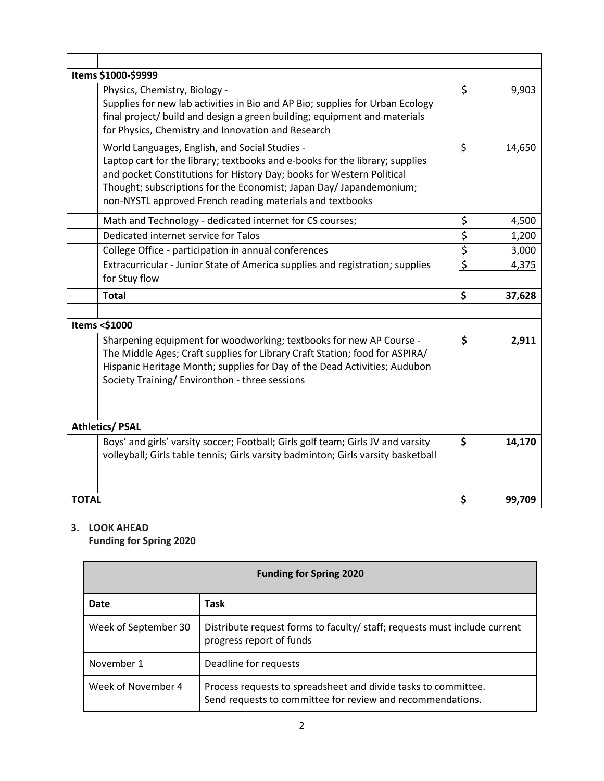|              | Items \$1000-\$9999                                                                                                                                                                                                                                                                                                                         |                                 |        |
|--------------|---------------------------------------------------------------------------------------------------------------------------------------------------------------------------------------------------------------------------------------------------------------------------------------------------------------------------------------------|---------------------------------|--------|
|              | Physics, Chemistry, Biology -<br>Supplies for new lab activities in Bio and AP Bio; supplies for Urban Ecology<br>final project/ build and design a green building; equipment and materials<br>for Physics, Chemistry and Innovation and Research                                                                                           | \$                              | 9,903  |
|              | World Languages, English, and Social Studies -<br>Laptop cart for the library; textbooks and e-books for the library; supplies<br>and pocket Constitutions for History Day; books for Western Political<br>Thought; subscriptions for the Economist; Japan Day/ Japandemonium;<br>non-NYSTL approved French reading materials and textbooks | \$                              | 14,650 |
|              | Math and Technology - dedicated internet for CS courses;                                                                                                                                                                                                                                                                                    | \$                              | 4,500  |
|              | Dedicated internet service for Talos                                                                                                                                                                                                                                                                                                        | \$                              | 1,200  |
|              | College Office - participation in annual conferences                                                                                                                                                                                                                                                                                        | $\overline{\boldsymbol{\zeta}}$ | 3,000  |
|              | Extracurricular - Junior State of America supplies and registration; supplies<br>for Stuy flow                                                                                                                                                                                                                                              | $\overline{\xi}$                | 4,375  |
|              | <b>Total</b>                                                                                                                                                                                                                                                                                                                                | \$                              | 37,628 |
|              | Items <\$1000                                                                                                                                                                                                                                                                                                                               |                                 |        |
|              | Sharpening equipment for woodworking; textbooks for new AP Course -<br>The Middle Ages; Craft supplies for Library Craft Station; food for ASPIRA/<br>Hispanic Heritage Month; supplies for Day of the Dead Activities; Audubon<br>Society Training/ Environthon - three sessions                                                           | \$                              | 2,911  |
|              | <b>Athletics/ PSAL</b>                                                                                                                                                                                                                                                                                                                      |                                 |        |
|              | Boys' and girls' varsity soccer; Football; Girls golf team; Girls JV and varsity<br>volleyball; Girls table tennis; Girls varsity badminton; Girls varsity basketball                                                                                                                                                                       | \$                              | 14,170 |
| <b>TOTAL</b> |                                                                                                                                                                                                                                                                                                                                             | \$                              | 99,709 |

# **3. LOOK AHEAD**

**Funding for Spring 2020**

| <b>Funding for Spring 2020</b> |                                                                                                                              |  |  |
|--------------------------------|------------------------------------------------------------------------------------------------------------------------------|--|--|
| Date                           | Task                                                                                                                         |  |  |
| Week of September 30           | Distribute request forms to faculty/ staff; requests must include current<br>progress report of funds                        |  |  |
| November 1                     | Deadline for requests                                                                                                        |  |  |
| Week of November 4             | Process requests to spreadsheet and divide tasks to committee.<br>Send requests to committee for review and recommendations. |  |  |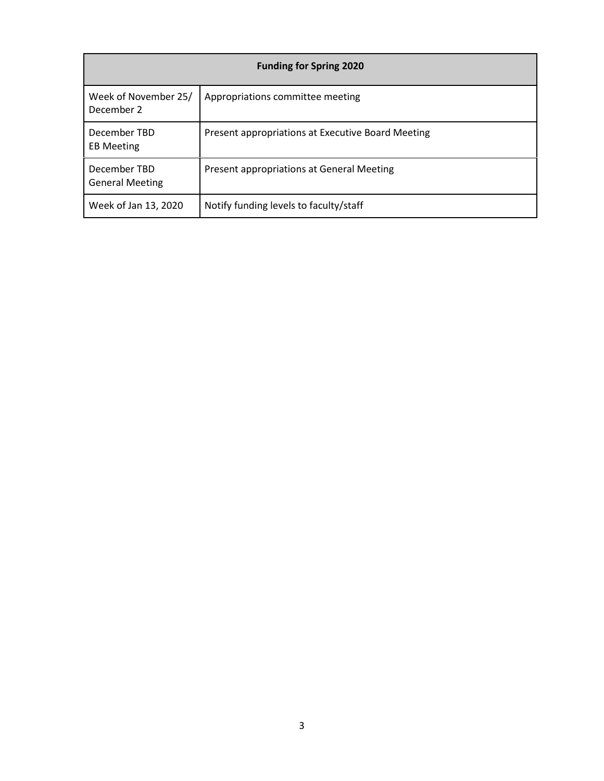| <b>Funding for Spring 2020</b>         |                                                   |  |  |
|----------------------------------------|---------------------------------------------------|--|--|
| Week of November 25/<br>December 2     | Appropriations committee meeting                  |  |  |
| December TBD<br><b>EB Meeting</b>      | Present appropriations at Executive Board Meeting |  |  |
| December TBD<br><b>General Meeting</b> | Present appropriations at General Meeting         |  |  |
| Week of Jan 13, 2020                   | Notify funding levels to faculty/staff            |  |  |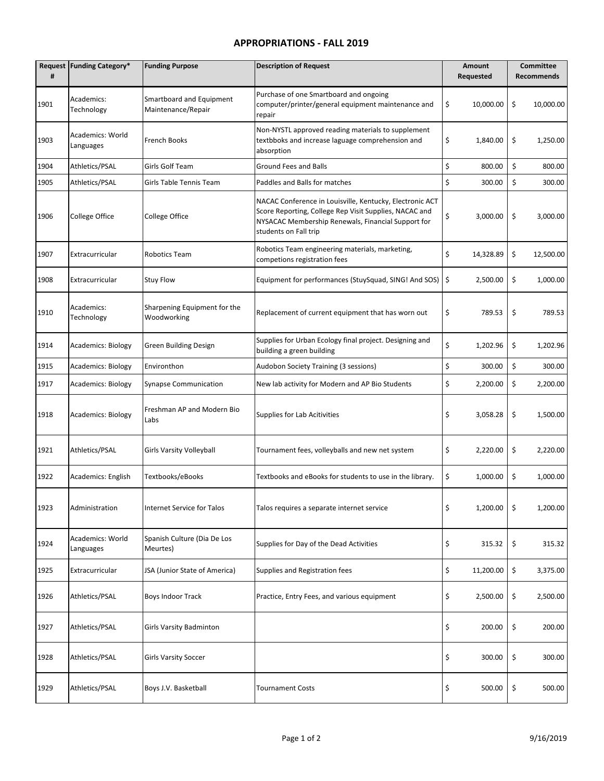#### **APPROPRIATIONS - FALL 2019**

| #    | Request Funding Category*     | <b>Funding Purpose</b>                         | <b>Description of Request</b>                                                                                                                                                                     | <b>Amount</b><br>Requested | <b>Committee</b><br><b>Recommends</b> |
|------|-------------------------------|------------------------------------------------|---------------------------------------------------------------------------------------------------------------------------------------------------------------------------------------------------|----------------------------|---------------------------------------|
| 1901 | Academics:<br>Technology      | Smartboard and Equipment<br>Maintenance/Repair | Purchase of one Smartboard and ongoing<br>computer/printer/general equipment maintenance and<br>repair                                                                                            | \$<br>10,000.00            | \$<br>10,000.00                       |
| 1903 | Academics: World<br>Languages | French Books                                   | Non-NYSTL approved reading materials to supplement<br>textbboks and increase laguage comprehension and<br>absorption                                                                              | \$<br>1,840.00             | \$<br>1,250.00                        |
| 1904 | Athletics/PSAL                | Girls Golf Team                                | Ground Fees and Balls                                                                                                                                                                             | \$<br>800.00               | \$<br>800.00                          |
| 1905 | Athletics/PSAL                | Girls Table Tennis Team                        | Paddles and Balls for matches                                                                                                                                                                     | \$<br>300.00               | \$<br>300.00                          |
| 1906 | College Office                | College Office                                 | NACAC Conference in Louisville, Kentucky, Electronic ACT<br>Score Reporting, College Rep Visit Supplies, NACAC and<br>NYSACAC Membership Renewals, Financial Support for<br>students on Fall trip | \$<br>3,000.00             | \$<br>3,000.00                        |
| 1907 | Extracurricular               | <b>Robotics Team</b>                           | Robotics Team engineering materials, marketing,<br>competions registration fees                                                                                                                   | \$<br>14,328.89            | \$<br>12,500.00                       |
| 1908 | Extracurricular               | <b>Stuy Flow</b>                               | Equipment for performances (StuySquad, SING! And SOS)                                                                                                                                             | \$<br>2,500.00             | \$<br>1,000.00                        |
| 1910 | Academics:<br>Technology      | Sharpening Equipment for the<br>Woodworking    | Replacement of current equipment that has worn out                                                                                                                                                | \$<br>789.53               | \$<br>789.53                          |
| 1914 | <b>Academics: Biology</b>     | <b>Green Building Design</b>                   | Supplies for Urban Ecology final project. Designing and<br>building a green building                                                                                                              | \$<br>1,202.96             | \$<br>1,202.96                        |
| 1915 | <b>Academics: Biology</b>     | Environthon                                    | Audobon Society Training (3 sessions)                                                                                                                                                             | \$<br>300.00               | \$<br>300.00                          |
| 1917 | <b>Academics: Biology</b>     | <b>Synapse Communication</b>                   | New lab activity for Modern and AP Bio Students                                                                                                                                                   | \$<br>2,200.00             | \$<br>2,200.00                        |
| 1918 | <b>Academics: Biology</b>     | Freshman AP and Modern Bio<br>Labs             | Supplies for Lab Acitivities                                                                                                                                                                      | \$<br>3,058.28             | \$<br>1,500.00                        |
| 1921 | Athletics/PSAL                | Girls Varsity Volleyball                       | Tournament fees, volleyballs and new net system                                                                                                                                                   | \$<br>2,220.00             | \$<br>2,220.00                        |
| 1922 | Academics: English            | Textbooks/eBooks                               | Textbooks and eBooks for students to use in the library.                                                                                                                                          | \$<br>1,000.00             | \$<br>1,000.00                        |
| 1923 | Administration                | Internet Service for Talos                     | Talos requires a separate internet service                                                                                                                                                        | \$<br>1,200.00             | \$<br>1,200.00                        |
| 1924 | Academics: World<br>Languages | Spanish Culture (Dia De Los<br>Meurtes)        | Supplies for Day of the Dead Activities                                                                                                                                                           | \$<br>315.32               | \$<br>315.32                          |
| 1925 | Extracurricular               | JSA (Junior State of America)                  | Supplies and Registration fees                                                                                                                                                                    | \$<br>11,200.00            | \$<br>3,375.00                        |
| 1926 | Athletics/PSAL                | Boys Indoor Track                              | Practice, Entry Fees, and various equipment                                                                                                                                                       | \$<br>2,500.00             | \$<br>2,500.00                        |
| 1927 | Athletics/PSAL                | <b>Girls Varsity Badminton</b>                 |                                                                                                                                                                                                   | \$<br>200.00               | \$<br>200.00                          |
| 1928 | Athletics/PSAL                | <b>Girls Varsity Soccer</b>                    |                                                                                                                                                                                                   | \$<br>300.00               | \$<br>300.00                          |
| 1929 | Athletics/PSAL                | Boys J.V. Basketball                           | <b>Tournament Costs</b>                                                                                                                                                                           | \$<br>500.00               | \$<br>500.00                          |